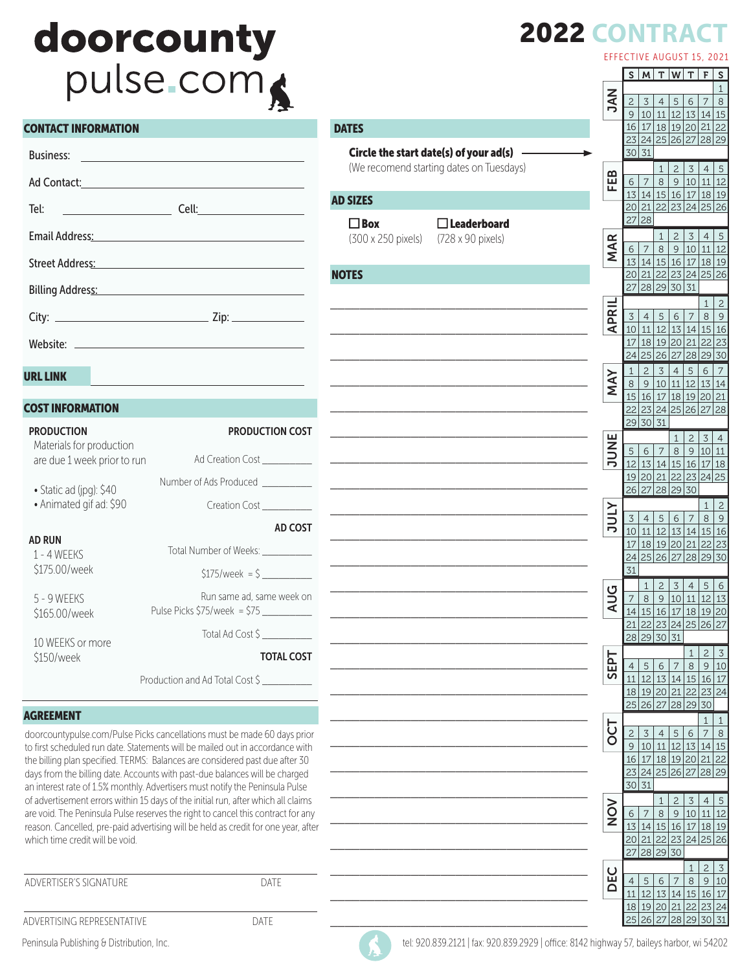## doorcounty pulse.com

#### CONTACT INFORMATION

| Ad Contact: All Contact:                                                                                                                                                                                                       |  |
|--------------------------------------------------------------------------------------------------------------------------------------------------------------------------------------------------------------------------------|--|
| Tel: ________________________                                                                                                                                                                                                  |  |
| Email Address: No. 1996. The Committee of the Committee of the Committee of the Committee of the Committee of the Committee of the Committee of the Committee of the Committee of the Committee of the Committee of the Commit |  |
| Street Address: No. 2014                                                                                                                                                                                                       |  |
| Billing Address: No. 1996. The Manual Address Andrew Manual Address:                                                                                                                                                           |  |
|                                                                                                                                                                                                                                |  |
|                                                                                                                                                                                                                                |  |

 $\blacksquare$ 

A

#### URL LINK

#### COST INFORMATION

| <b>PRODUCTION</b><br>Materials for production | <b>PRODUCTION COST</b>                                                                        |
|-----------------------------------------------|-----------------------------------------------------------------------------------------------|
| are due 1 week prior to run                   | Ad Creation Cost                                                                              |
| • Static ad (jpg): \$40                       | Number of Ads Produced __________                                                             |
| · Animated gif ad: \$90                       | Creation Cost                                                                                 |
|                                               | AD COST                                                                                       |
| <b>AD RUN</b><br>1 - 4 WFFKS                  | Total Number of Weeks:                                                                        |
| \$175.00/week                                 | $$175/week = $$                                                                               |
| 5 - 9 WEEKS                                   | Run same ad, same week on<br>Pulse Picks \$75/week  = \$75                                    |
| \$165.00/week                                 | Total Ad Cost \$                                                                              |
| 10 WEEKS or more                              | <b>TOTAL COST</b>                                                                             |
| \$150/week                                    |                                                                                               |
|                                               | Production and Ad Total Cost \$                                                               |
| <b>AGREEMENT</b>                              |                                                                                               |
|                                               | sta anno control de la capacito della Dietra concellatione secondita seconde CO stato seniore |

doorcountypulse.com/Pulse Picks cancellations must be made 60 days prior to first scheduled run date. Statements will be mailed out in accordance with the billing plan specified. TERMS: Balances are considered past due after 30 days from the billing date. Accounts with past-due balances will be charged an interest rate of 1.5% monthly. Advertisers must notify the Peninsula Pulse of advertisement errors within 15 days of the initial run, after which all claims are void. The Peninsula Pulse reserves the right to cancel this contract for any reason. Cancelled, pre-paid advertising will be held as credit for one year, after which time credit will be void.

ADVERTISER'S SIGNATURE **EXECUTE ASSESS** 

ADVERTISING REPRESENTATIVE DATE

|                                          |             | EFFECTIVE AUGUST 15, 2021 |                                  |                                  |                       |                                 |                         |                         |
|------------------------------------------|-------------|---------------------------|----------------------------------|----------------------------------|-----------------------|---------------------------------|-------------------------|-------------------------|
|                                          |             | S                         | M                                | T                                | W                     | T                               | F                       | $\mathsf S$             |
|                                          |             |                           |                                  |                                  |                       |                                 |                         | $\mathbf{1}$            |
|                                          | <b>NAC</b>  | $\mathbf{2}$<br>9         | 3<br>10                          | $\overline{4}$<br>11             | 5<br>12               | 6<br>13 14 15                   | 7                       | $\,8\,$                 |
| <b>DATES</b>                             |             |                           |                                  | 16 17 18 19 20 21 22             |                       |                                 |                         |                         |
|                                          |             |                           |                                  | 23 24 25 26 27                   |                       |                                 | $28$ 29                 |                         |
| Circle the start date(s) of your ad(s)   |             |                           | 30 31                            |                                  |                       |                                 |                         |                         |
| (We recomend starting dates on Tuesdays) |             |                           |                                  | 1                                | $\overline{c}$        | 3                               | 4                       | 5                       |
|                                          | FEB         | 6                         | $\overline{7}$                   | $\,8\,$                          | $\mathsf 9$           | 10                              | $111$ 12                |                         |
| <b>AD SIZES</b>                          |             |                           |                                  | 13 14 15 16 17 18 19             |                       |                                 |                         |                         |
|                                          |             |                           |                                  | 20 21 22 23 24 25 26             |                       |                                 |                         |                         |
| $\Box$ Box<br>$\Box$ Leaderboard         |             |                           | 27 28                            |                                  |                       |                                 |                         |                         |
| (300 x 250 pixels)<br>(728 x 90 pixels)  |             |                           |                                  | $\mathbf{1}$                     | $\overline{c}$        | 3                               | $\overline{4}$          | 5                       |
|                                          | <b>MAR</b>  | 6                         | 7                                | 8                                | $\overline{9}$        |                                 | 10 11 12                |                         |
|                                          |             |                           |                                  | 13 14 15 16 17 18 19             |                       |                                 |                         |                         |
| <b>NOTES</b>                             |             |                           |                                  | 20 21 22 23 24 25 26             |                       |                                 |                         |                         |
|                                          |             | 27                        |                                  | 28 29 30                         |                       | 31                              |                         |                         |
|                                          |             |                           |                                  |                                  |                       |                                 | 1                       | $\overline{c}$          |
|                                          | <b>APRI</b> | 3                         | $\overline{4}$                   | 5                                | 6                     | $\overline{7}$                  | $\,8\,$                 | $\overline{9}$          |
|                                          |             | 10<br>17                  | $11\,$                           | 18 19 20 21                      |                       | 12 13 14 15 16                  | 22 23                   |                         |
|                                          |             |                           |                                  | 24 25 26 27                      |                       | 28 29 30                        |                         |                         |
|                                          |             |                           |                                  |                                  |                       |                                 |                         |                         |
|                                          | MAY         | 1<br>$\,8\,$              | $\overline{c}$<br>$\overline{9}$ | $\overline{3}$<br>10 11          | $\overline{4}$        | 5<br>12 13 14                   | $\sqrt{6}$              | $\overline{7}$          |
|                                          |             |                           |                                  | 15 16 17 18 19 20 21             |                       |                                 |                         |                         |
|                                          |             |                           |                                  | 22 23 24 25 26 27 28             |                       |                                 |                         |                         |
|                                          |             |                           | 29 30                            | $\overline{31}$                  |                       |                                 |                         |                         |
|                                          |             |                           |                                  |                                  | $\mathbf{1}$          | $\overline{c}$                  | 3                       | $\overline{4}$          |
|                                          | JUNE        | 5                         | 6                                | $\overline{7}$                   | 8                     | $\mathsf{9}$                    | 10 11                   |                         |
|                                          |             | 12                        |                                  | 13 14                            | 15                    | 16 17 18                        |                         |                         |
|                                          |             |                           |                                  | 19 20 21 22 23 24 25             |                       |                                 |                         |                         |
|                                          |             |                           | 26 27                            | 28                               | 29 30                 |                                 |                         |                         |
|                                          |             |                           |                                  |                                  |                       |                                 | 1                       | $\overline{c}$          |
|                                          | <b>ATNC</b> | 3                         | 4                                | 5                                | 6                     | $\overline{7}$                  | $\,8\,$                 | $\overline{9}$          |
|                                          |             | 10                        |                                  | 11 12 13 14 15 16                |                       |                                 |                         |                         |
|                                          |             | 17                        |                                  | 18 19 20 21 22 23<br>24 25 26 27 |                       |                                 | 28 29 30                |                         |
|                                          |             | 31                        |                                  |                                  |                       |                                 |                         |                         |
|                                          |             |                           |                                  |                                  |                       |                                 |                         |                         |
|                                          | ט           | 7                         | 1<br>8                           | 2<br>9                           | 3<br>10               | 4<br>11                         | 5<br>12 13              | $\frac{6}{1}$           |
|                                          | ⋖           | 14                        |                                  | <u>15 16 17 18 19 20</u>         |                       |                                 |                         |                         |
|                                          |             | 21                        | 22                               | 23                               | 24                    | 25                              | 26                      | 27                      |
|                                          |             |                           |                                  | 28 29 30                         | 31                    |                                 |                         |                         |
|                                          |             |                           |                                  |                                  |                       | 1                               | $\overline{c}$          | $\overline{\mathbf{3}}$ |
|                                          | <b>Ld3S</b> | $\overline{4}$            | 5                                | 6                                | 7                     | $\,8\,$                         | 9                       | 10                      |
|                                          |             | 11                        | 12                               | 13                               | 14                    |                                 | 15 16                   | 17                      |
|                                          |             | 18                        |                                  | 19 20                            | 21                    | 22                              | 23                      | $\overline{24}$         |
|                                          |             | 25                        |                                  | $26$ 27                          |                       | 28 29 30                        |                         |                         |
|                                          |             |                           |                                  |                                  |                       |                                 | $\mathbf{1}$            | $\overline{1}$          |
|                                          | 50          | $\overline{c}$            | 3                                | $\overline{4}$                   | $\overline{5}$        | 6                               | $\overline{7}$          | 8                       |
|                                          |             | $\mathsf{9}$              | $10$                             | $11\,$                           | 12                    | $13\,$                          | 14                      | $\overline{15}$         |
|                                          |             | 16<br>23                  | $17\,$<br>24                     | 25                               | 18 19 20<br>$26$ $27$ |                                 | 21<br>$\frac{1}{28}$ 29 | 22                      |
|                                          |             | 30 31                     |                                  |                                  |                       |                                 |                         |                         |
|                                          |             |                           |                                  |                                  | $\mathbf{c}$          |                                 |                         |                         |
|                                          | NON         | 6                         | 7                                | 1<br>8                           | $\overline{9}$        | $\ensuremath{\mathsf{3}}$<br>10 | $\overline{4}$<br>11    | $\overline{5}$<br>12    |
|                                          |             | 13                        | 14                               | 15                               | 16                    | 17                              | 18 19                   |                         |
|                                          |             | 20                        | 21                               | 22                               | 23                    | 24 25 26                        |                         |                         |
|                                          |             |                           | 20                               | $\sim$                           | 70                    |                                 |                         |                         |

#### Peninsula Publishing & Distribution, Inc. tel: 920.839.2121 | fax: 920.839.2121 | fax: 920.839.2929 | office: 8142 highway 57, baileys harbor, wi 54202

\_\_\_\_\_\_\_\_\_\_\_\_\_\_\_\_\_\_\_\_\_\_\_\_\_\_\_\_\_\_\_\_\_\_\_

\_\_\_\_\_\_\_\_\_\_\_\_\_\_\_\_\_\_\_\_\_\_\_\_\_\_\_\_\_\_\_\_\_\_\_

\_\_\_\_\_\_\_\_\_\_\_\_\_\_\_\_\_\_\_\_\_\_\_\_\_\_\_\_\_\_\_\_\_\_\_

DEC

27 28 29 30

 5 6 7 8 9 10 12 13 14 15 16 17 19 20 21 22 23 24 25 26 27 28 29 30

## 2022 **CONTRACT**

5, 2021  $F S$ 

 $1 \mid 2 \mid 3$